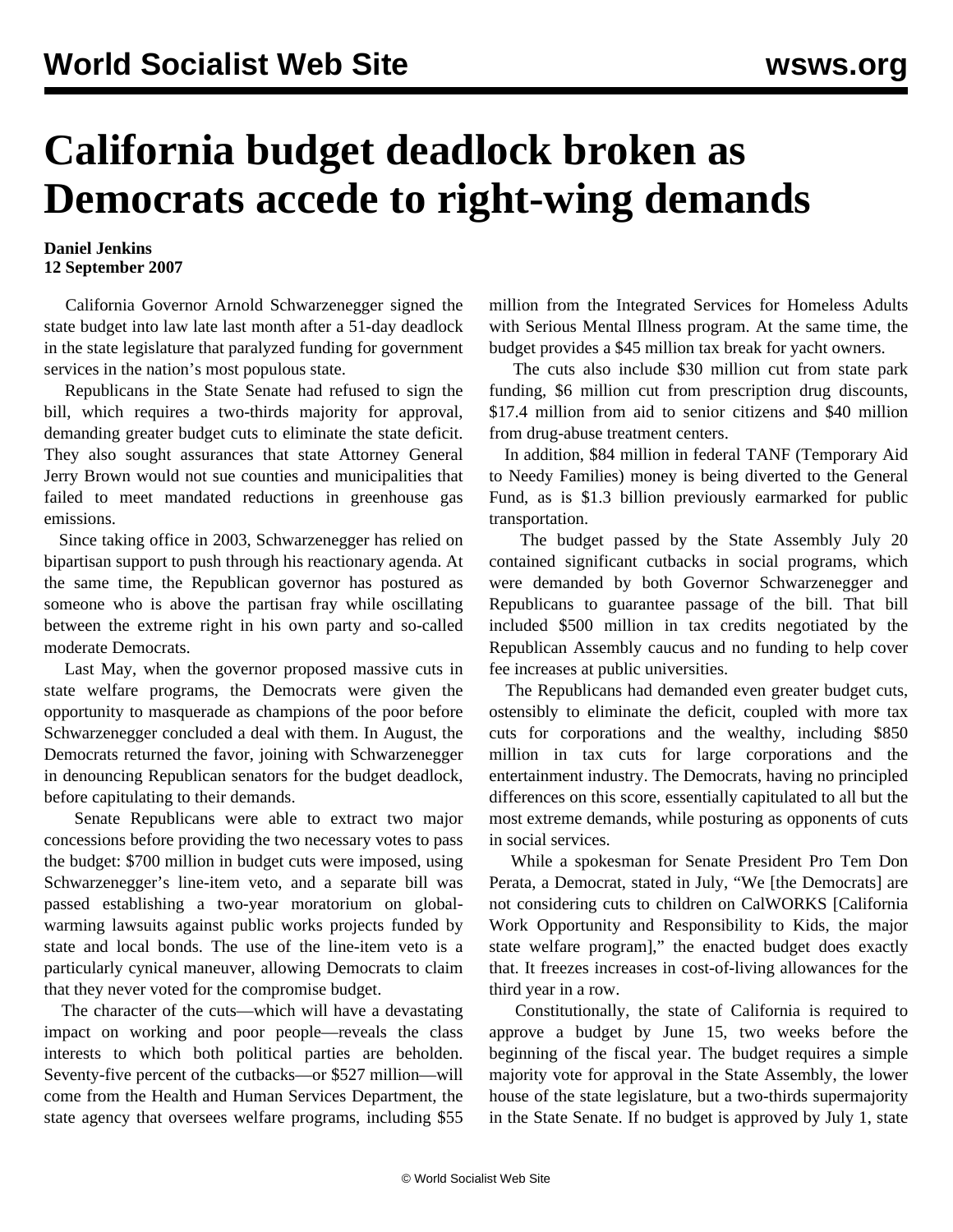## **California budget deadlock broken as Democrats accede to right-wing demands**

## **Daniel Jenkins 12 September 2007**

 California Governor Arnold Schwarzenegger signed the state budget into law late last month after a 51-day deadlock in the state legislature that paralyzed funding for government services in the nation's most populous state.

 Republicans in the State Senate had refused to sign the bill, which requires a two-thirds majority for approval, demanding greater budget cuts to eliminate the state deficit. They also sought assurances that state Attorney General Jerry Brown would not sue counties and municipalities that failed to meet mandated reductions in greenhouse gas emissions.

 Since taking office in 2003, Schwarzenegger has relied on bipartisan support to push through his reactionary agenda. At the same time, the Republican governor has postured as someone who is above the partisan fray while oscillating between the extreme right in his own party and so-called moderate Democrats.

 Last May, when the governor proposed massive cuts in state welfare programs, the Democrats were given the opportunity to masquerade as champions of the poor before Schwarzenegger concluded a deal with them. In August, the Democrats returned the favor, joining with Schwarzenegger in denouncing Republican senators for the budget deadlock, before capitulating to their demands.

 Senate Republicans were able to extract two major concessions before providing the two necessary votes to pass the budget: \$700 million in budget cuts were imposed, using Schwarzenegger's line-item veto, and a separate bill was passed establishing a two-year moratorium on globalwarming lawsuits against public works projects funded by state and local bonds. The use of the line-item veto is a particularly cynical maneuver, allowing Democrats to claim that they never voted for the compromise budget.

 The character of the cuts—which will have a devastating impact on working and poor people—reveals the class interests to which both political parties are beholden. Seventy-five percent of the cutbacks—or \$527 million—will come from the Health and Human Services Department, the state agency that oversees welfare programs, including \$55 million from the Integrated Services for Homeless Adults with Serious Mental Illness program. At the same time, the budget provides a \$45 million tax break for yacht owners.

 The cuts also include \$30 million cut from state park funding, \$6 million cut from prescription drug discounts, \$17.4 million from aid to senior citizens and \$40 million from drug-abuse treatment centers.

 In addition, \$84 million in federal TANF (Temporary Aid to Needy Families) money is being diverted to the General Fund, as is \$1.3 billion previously earmarked for public transportation.

 The budget passed by the State Assembly July 20 contained significant cutbacks in social programs, which were demanded by both Governor Schwarzenegger and Republicans to guarantee passage of the bill. That bill included \$500 million in tax credits negotiated by the Republican Assembly caucus and no funding to help cover fee increases at public universities.

 The Republicans had demanded even greater budget cuts, ostensibly to eliminate the deficit, coupled with more tax cuts for corporations and the wealthy, including \$850 million in tax cuts for large corporations and the entertainment industry. The Democrats, having no principled differences on this score, essentially capitulated to all but the most extreme demands, while posturing as opponents of cuts in social services.

 While a spokesman for Senate President Pro Tem Don Perata, a Democrat, stated in July, "We [the Democrats] are not considering cuts to children on CalWORKS [California Work Opportunity and Responsibility to Kids, the major state welfare program]," the enacted budget does exactly that. It freezes increases in cost-of-living allowances for the third year in a row.

 Constitutionally, the state of California is required to approve a budget by June 15, two weeks before the beginning of the fiscal year. The budget requires a simple majority vote for approval in the State Assembly, the lower house of the state legislature, but a two-thirds supermajority in the State Senate. If no budget is approved by July 1, state